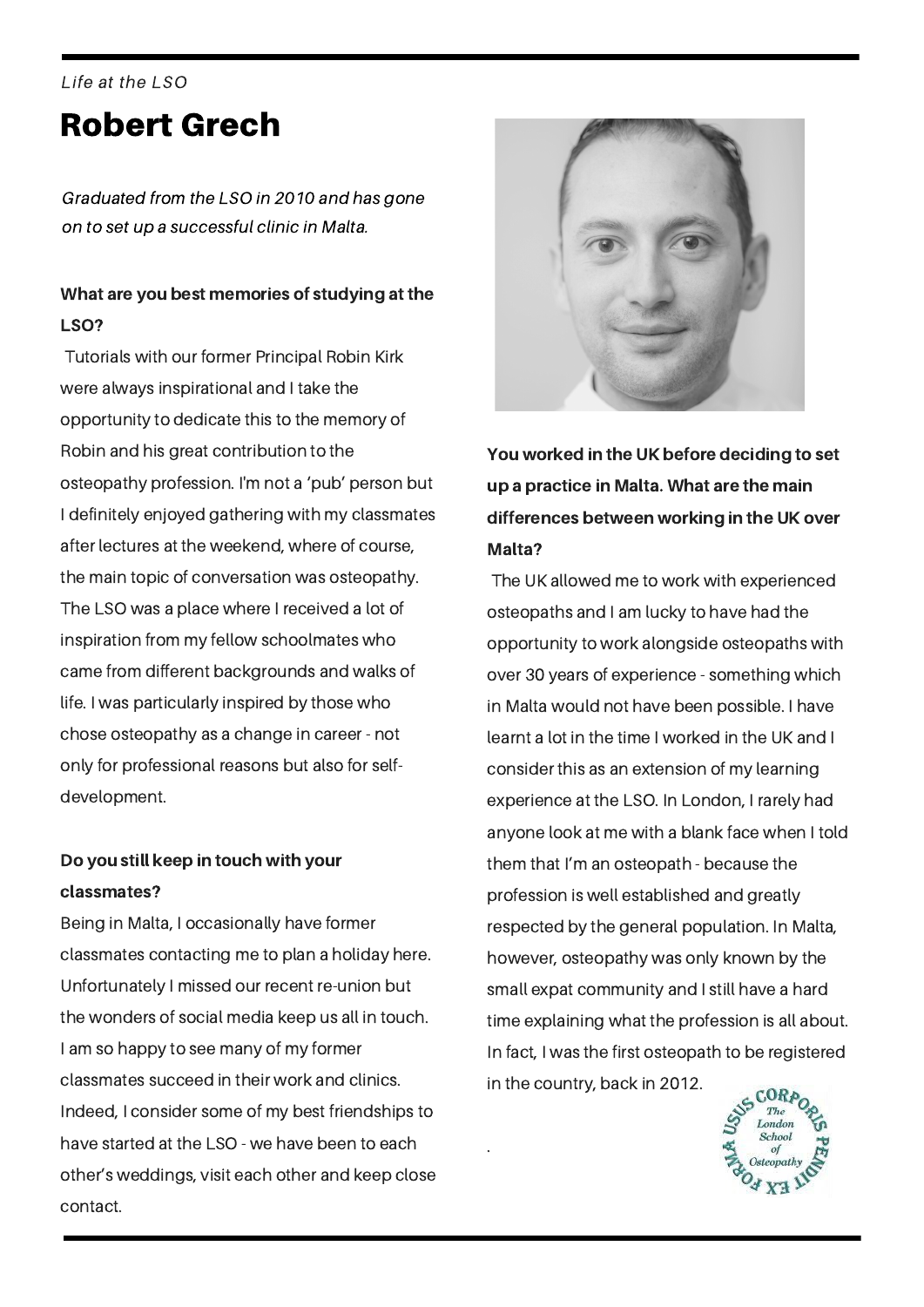# Robert Grech Life at the LSO

Graduated from the LSO in 2010 and has gone on to set up a successful clinic in Malta.

## What are you best memories of studying at the LSO?

Tutorials with our former Principal Robin Kirk were always inspirational and I take the opportunity to dedicate this to the memory of Robin and his great contribution to the osteopathy profession. I'm not a 'pub' person but I definitely enjoyed gathering with my classmates after lectures at the weekend, where of course, the main topic of conversation was osteopathy. The LSO was a place where I received a lot of inspiration from my fellow schoolmates who came from different backgrounds and walks of life. I was particularly inspired by those who chose osteopathy as a change in career - not only for professional reasons but also for selfdevelopment.

### Do you still keep in touch with your classmates?

Being in Malta, I occasionally have former classmates contacting me to plan a holiday here. Unfortunately I missed our recent re-union but the wonders of social media keep us all in touch. I am so happy to see many of my former classmates succeed in their work and clinics. Indeed, I consider some of my best friendships to have started at the LSO - we have been to each other's weddings, visit each other and keep close contact.



You worked in the UK before deciding to set up a practice in Malta. What are the main differences between working in the UK over Malta?

The UK allowed me to work with experienced osteopaths and I am lucky to have had the opportunity to work alongside osteopaths with over 30 years of experience - something which in Malta would not have been possible. I have learnt a lot in the time I worked in the UK and I consider this as an extension of my learning experience at the LSO. In London, I rarely had anyone look at me with a blank face when I told them that I'm an osteopath - because the profession is well established and greatly respected by the general population. In Malta, however, osteopathy was only known by the small expat community and I still have a hard time explaining what the profession is all about. In fact, I was the first osteopath to be registered in the country, back in 2012.

.